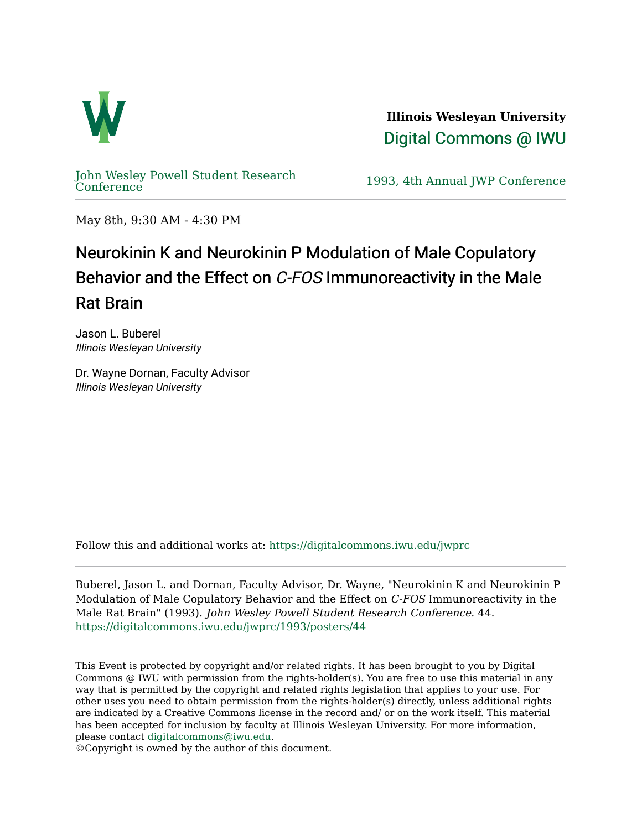

**Illinois Wesleyan University**  [Digital Commons @ IWU](https://digitalcommons.iwu.edu/) 

[John Wesley Powell Student Research](https://digitalcommons.iwu.edu/jwprc) 

1993, 4th Annual JWP [Conference](https://digitalcommons.iwu.edu/jwprc)

May 8th, 9:30 AM - 4:30 PM

## Neurokinin K and Neurokinin P Modulation of Male Copulatory Behavior and the Effect on C-FOS Immunoreactivity in the Male Rat Brain

Jason L. Buberel Illinois Wesleyan University

Dr. Wayne Dornan, Faculty Advisor Illinois Wesleyan University

Follow this and additional works at: [https://digitalcommons.iwu.edu/jwprc](https://digitalcommons.iwu.edu/jwprc?utm_source=digitalcommons.iwu.edu%2Fjwprc%2F1993%2Fposters%2F44&utm_medium=PDF&utm_campaign=PDFCoverPages) 

Buberel, Jason L. and Dornan, Faculty Advisor, Dr. Wayne, "Neurokinin K and Neurokinin P Modulation of Male Copulatory Behavior and the Effect on C-FOS Immunoreactivity in the Male Rat Brain" (1993). John Wesley Powell Student Research Conference. 44. [https://digitalcommons.iwu.edu/jwprc/1993/posters/44](https://digitalcommons.iwu.edu/jwprc/1993/posters/44?utm_source=digitalcommons.iwu.edu%2Fjwprc%2F1993%2Fposters%2F44&utm_medium=PDF&utm_campaign=PDFCoverPages)

This Event is protected by copyright and/or related rights. It has been brought to you by Digital Commons @ IWU with permission from the rights-holder(s). You are free to use this material in any way that is permitted by the copyright and related rights legislation that applies to your use. For other uses you need to obtain permission from the rights-holder(s) directly, unless additional rights are indicated by a Creative Commons license in the record and/ or on the work itself. This material has been accepted for inclusion by faculty at Illinois Wesleyan University. For more information, please contact [digitalcommons@iwu.edu.](mailto:digitalcommons@iwu.edu)

©Copyright is owned by the author of this document.